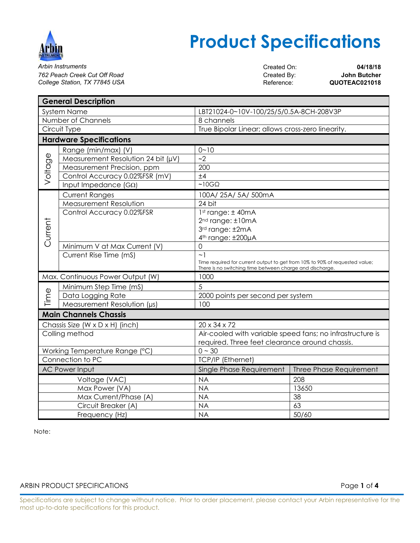

# **Product Specifications**

*Arbin Instruments* Created On: **04/18/18**  762 Peach Creek Cut Off Road<br>
Created By: **John Butcher**<br>
College Station, TX 77845 USA **College Station, TX 77845 USA College Station, TX 77845 USA** 

| <b>General Description</b>       |                                    |                                                                                                                                         |                                                   |  |  |
|----------------------------------|------------------------------------|-----------------------------------------------------------------------------------------------------------------------------------------|---------------------------------------------------|--|--|
| <b>System Name</b>               |                                    | LBT21024-0~10V-100/25/5/0.5A-8CH-208V3P                                                                                                 |                                                   |  |  |
| Number of Channels               |                                    | 8 channels                                                                                                                              |                                                   |  |  |
| Circuit Type                     |                                    |                                                                                                                                         | True Bipolar Linear; allows cross-zero linearity. |  |  |
|                                  | <b>Hardware Specifications</b>     |                                                                                                                                         |                                                   |  |  |
|                                  | Range (min/max) (V)                | $0 - 10$                                                                                                                                |                                                   |  |  |
|                                  | Measurement Resolution 24 bit (µV) | ~2                                                                                                                                      |                                                   |  |  |
|                                  | Measurement Precision, ppm         | 200                                                                                                                                     |                                                   |  |  |
| Voltage                          | Control Accuracy 0.02%FSR (mV)     | ±4                                                                                                                                      |                                                   |  |  |
|                                  | Input Impedance $(G\Omega)$        | $~10G\Omega$                                                                                                                            |                                                   |  |  |
|                                  | <b>Current Ranges</b>              | 100A/25A/5A/500mA                                                                                                                       |                                                   |  |  |
|                                  | Measurement Resolution             | 24 bit                                                                                                                                  |                                                   |  |  |
| Current                          | Control Accuracy 0.02%FSR          | 1st range: ± 40mA                                                                                                                       |                                                   |  |  |
|                                  |                                    | 2 <sup>nd</sup> range: ±10mA                                                                                                            |                                                   |  |  |
|                                  |                                    | 3rd range: ±2mA                                                                                                                         |                                                   |  |  |
|                                  |                                    | 4th range: ±200µA                                                                                                                       |                                                   |  |  |
|                                  | Minimum V at Max Current (V)       | $\mathbf 0$                                                                                                                             |                                                   |  |  |
|                                  | Current Rise Time (mS)             | $\sim$ 1                                                                                                                                |                                                   |  |  |
|                                  |                                    | Time required for current output to get from 10% to 90% of requested value;<br>There is no switching time between charge and discharge. |                                                   |  |  |
| Max. Continuous Power Output (W) |                                    | 1000                                                                                                                                    |                                                   |  |  |
|                                  | Minimum Step Time (mS)             | 5                                                                                                                                       |                                                   |  |  |
| Time                             | Data Logging Rate                  | 2000 points per second per system                                                                                                       |                                                   |  |  |
|                                  | Measurement Resolution (µs)        | 100                                                                                                                                     |                                                   |  |  |
| <b>Main Channels Chassis</b>     |                                    |                                                                                                                                         |                                                   |  |  |
| Chassis Size (W x D x H) (inch)  |                                    | 20 x 34 x 72                                                                                                                            |                                                   |  |  |
|                                  | Colling method                     | Air-cooled with variable speed fans; no infrastructure is                                                                               |                                                   |  |  |
|                                  |                                    | required. Three feet clearance around chassis.                                                                                          |                                                   |  |  |
| Working Temperature Range (°C)   |                                    | $0 \sim 30$                                                                                                                             |                                                   |  |  |
| Connection to PC                 |                                    | <b>TCP/IP (Ethernet)</b>                                                                                                                |                                                   |  |  |
| <b>AC Power Input</b>            |                                    | Single Phase Requirement                                                                                                                | Three Phase Requirement                           |  |  |
| Voltage (VAC)                    |                                    | <b>NA</b>                                                                                                                               | 208                                               |  |  |
| Max Power (VA)                   |                                    | <b>NA</b>                                                                                                                               | 13650                                             |  |  |
| Max Current/Phase (A)            |                                    | <b>NA</b>                                                                                                                               | 38                                                |  |  |
| Circuit Breaker (A)              |                                    | <b>NA</b>                                                                                                                               | 63                                                |  |  |
| Frequency (Hz)                   |                                    | <b>NA</b>                                                                                                                               | 50/60                                             |  |  |

Note:

# ARBIN PRODUCT SPECIFICATIONS **Page 1** of 4

Specifications are subject to change without notice. Prior to order placement, please contact your Arbin representative for the most up-to-date specifications for this product.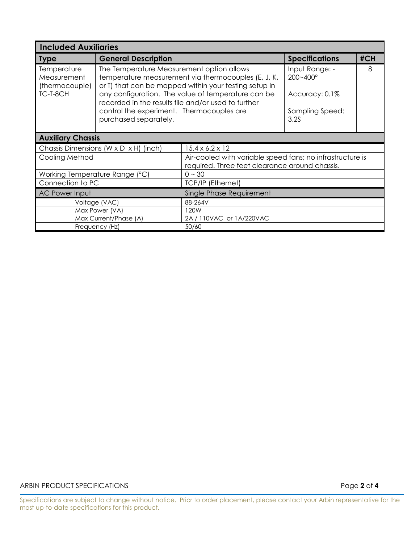| <b>Included Auxiliaries</b>                                                                                                                                                                               |                                                                                                           |                                                                                                             |                                       |     |  |  |
|-----------------------------------------------------------------------------------------------------------------------------------------------------------------------------------------------------------|-----------------------------------------------------------------------------------------------------------|-------------------------------------------------------------------------------------------------------------|---------------------------------------|-----|--|--|
| <b>Type</b>                                                                                                                                                                                               | <b>General Description</b>                                                                                |                                                                                                             | <b>Specifications</b>                 | #CH |  |  |
| The Temperature Measurement option allows<br>Temperature<br>temperature measurement via thermocouples (E, J, K,<br>Measurement<br>or T) that can be mapped within your testing setup in<br>(thermocouple) |                                                                                                           |                                                                                                             | Input Range: -<br>$200 - 400^{\circ}$ | 8   |  |  |
| TC-T-8CH                                                                                                                                                                                                  | any configuration. The value of temperature can be<br>recorded in the results file and/or used to further |                                                                                                             | Accuracy: 0.1%                        |     |  |  |
|                                                                                                                                                                                                           | control the experiment. Thermocouples are<br>purchased separately.                                        |                                                                                                             | Sampling Speed:<br>3.2S               |     |  |  |
| <b>Auxiliary Chassis</b>                                                                                                                                                                                  |                                                                                                           |                                                                                                             |                                       |     |  |  |
|                                                                                                                                                                                                           | Chassis Dimensions ( $W \times D \times H$ ) (inch)                                                       | $15.4 \times 6.2 \times 12$                                                                                 |                                       |     |  |  |
| Cooling Method                                                                                                                                                                                            |                                                                                                           | Air-cooled with variable speed fans; no infrastructure is<br>required. Three feet clearance around chassis. |                                       |     |  |  |
| Working Temperature Range (°C)                                                                                                                                                                            |                                                                                                           | $0 \sim 30$                                                                                                 |                                       |     |  |  |
| Connection to PC                                                                                                                                                                                          |                                                                                                           | <b>TCP/IP (Ethernet)</b>                                                                                    |                                       |     |  |  |
| <b>AC Power Input</b>                                                                                                                                                                                     |                                                                                                           | Single Phase Requirement                                                                                    |                                       |     |  |  |
| Voltage (VAC)                                                                                                                                                                                             |                                                                                                           | 88-264V                                                                                                     |                                       |     |  |  |
|                                                                                                                                                                                                           | Max Power (VA)                                                                                            | 120W                                                                                                        |                                       |     |  |  |
|                                                                                                                                                                                                           | Max Current/Phase (A)                                                                                     | 2A / 110VAC or 1A/220VAC                                                                                    |                                       |     |  |  |
| Frequency (Hz)                                                                                                                                                                                            |                                                                                                           | 50/60                                                                                                       |                                       |     |  |  |

### ARBIN PRODUCT SPECIFICATIONS **Page 2** of 4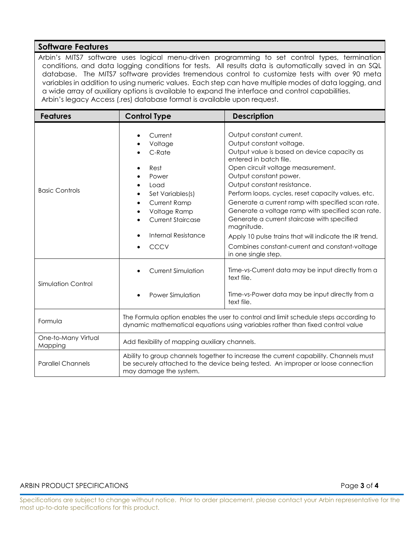# **Software Features**

Arbin's MITS7 software uses logical menu-driven programming to set control types, termination conditions, and data logging conditions for tests. All results data is automatically saved in an SQL database. The MITS7 software provides tremendous control to customize tests with over 90 meta variables in addition to using numeric values. Each step can have multiple modes of data logging, and a wide array of auxiliary options is available to expand the interface and control capabilities. Arbin's legacy Access (.res) database format is available upon request.

| <b>Features</b>                | <b>Control Type</b>                                                                                                                                                                                | <b>Description</b>                                                                                                                                                                                                                                                                                                                                                                                                                                                                                                                                                                          |
|--------------------------------|----------------------------------------------------------------------------------------------------------------------------------------------------------------------------------------------------|---------------------------------------------------------------------------------------------------------------------------------------------------------------------------------------------------------------------------------------------------------------------------------------------------------------------------------------------------------------------------------------------------------------------------------------------------------------------------------------------------------------------------------------------------------------------------------------------|
| <b>Basic Controls</b>          | Current<br>Voltage<br>C-Rate<br>Rest<br>Power<br>Load<br>Set Variables(s)<br><b>Current Ramp</b><br>Voltage Ramp<br><b>Current Staircase</b><br>Internal Resistance<br><b>CCCV</b>                 | Output constant current.<br>Output constant voltage.<br>Output value is based on device capacity as<br>entered in batch file.<br>Open circuit voltage measurement.<br>Output constant power.<br>Output constant resistance.<br>Perform loops, cycles, reset capacity values, etc.<br>Generate a current ramp with specified scan rate.<br>Generate a voltage ramp with specified scan rate.<br>Generate a current staircase with specified<br>magnitude.<br>Apply 10 pulse trains that will indicate the IR trend.<br>Combines constant-current and constant-voltage<br>in one single step. |
| Simulation Control             | <b>Current Simulation</b><br>Power Simulation                                                                                                                                                      | Time-vs-Current data may be input directly from a<br>text file.<br>Time-vs-Power data may be input directly from a<br>text file.                                                                                                                                                                                                                                                                                                                                                                                                                                                            |
| Formula                        | The Formula option enables the user to control and limit schedule steps according to<br>dynamic mathematical equations using variables rather than fixed control value                             |                                                                                                                                                                                                                                                                                                                                                                                                                                                                                                                                                                                             |
| One-to-Many Virtual<br>Mapping | Add flexibility of mapping auxiliary channels.                                                                                                                                                     |                                                                                                                                                                                                                                                                                                                                                                                                                                                                                                                                                                                             |
| <b>Parallel Channels</b>       | Ability to group channels together to increase the current capability. Channels must<br>be securely attached to the device being tested. An improper or loose connection<br>may damage the system. |                                                                                                                                                                                                                                                                                                                                                                                                                                                                                                                                                                                             |

#### ARBIN PRODUCT SPECIFICATIONS Page **3** of **4**

Specifications are subject to change without notice. Prior to order placement, please contact your Arbin representative for the most up-to-date specifications for this product.